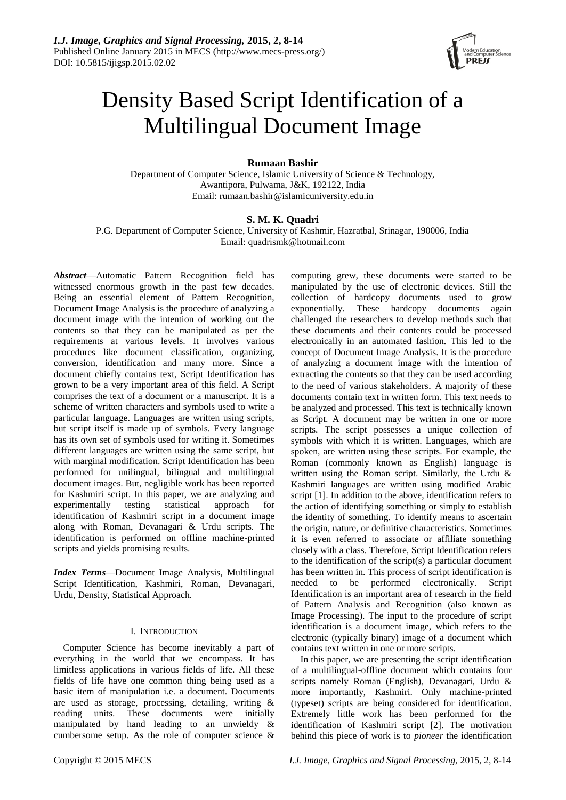

# Density Based Script Identification of a Multilingual Document Image

# **Rumaan Bashir**

Department of Computer Science, Islamic University of Science & Technology, Awantipora, Pulwama, J&K, 192122, India Email: [rumaan.bashir@islamicuniversity.edu.in](mailto:rumaan.bashir@islamicuniversity.edu.in)

# **S. M. K. Quadri**

P.G. Department of Computer Science, University of Kashmir, Hazratbal, Srinagar, 190006, India Email: [quadrismk@hotmail.com](mailto:quadrismk@hotmail.com)

*Abstract*—Automatic Pattern Recognition field has witnessed enormous growth in the past few decades. Being an essential element of Pattern Recognition, Document Image Analysis is the procedure of analyzing a document image with the intention of working out the contents so that they can be manipulated as per the requirements at various levels. It involves various procedures like document classification, organizing, conversion, identification and many more. Since a document chiefly contains text, Script Identification has grown to be a very important area of this field. A Script comprises the text of a document or a manuscript. It is [a](http://www.macmillandictionary.com/search/british/direct/?q=a) scheme [of](http://www.macmillandictionary.com/search/british/direct/?q=of) [written](http://www.macmillandictionary.com/search/british/direct/?q=written) [characters](http://www.macmillandictionary.com/search/british/direct/?q=letters) [and](http://www.macmillandictionary.com/search/british/direct/?q=and) [symbols](http://www.macmillandictionary.com/search/british/direct/?q=symbols) used to write a particular language. Languages are written using scripts, but script itself is made up of symbols. Every language has its own set of symbols used for writing it. Sometimes different languages are written using the same script, but with marginal modification. Script Identification has been performed for unilingual, bilingual and multilingual document images. But, negligible work has been reported for Kashmiri script. In this paper, we are analyzing and experimentally testing statistical approach for identification of Kashmiri script in a document image along with Roman, Devanagari & Urdu scripts. The identification is performed on offline machine-printed scripts and yields promising results.

*Index Terms*—Document Image Analysis, Multilingual Script Identification, Kashmiri, Roman, Devanagari, Urdu, Density, Statistical Approach.

# I. INTRODUCTION

Computer Science has become inevitably a part of everything in the world that we encompass. It has limitless applications in various fields of life. All these fields of life have one common thing being used as a basic item of manipulation i.e. a document. Documents are used as storage, processing, detailing, writing & reading units. These documents were initially manipulated by hand leading to an unwieldy  $\&$ cumbersome setup. As the role of computer science &

computing grew, these documents were started to be manipulated by the use of electronic devices. Still the collection of hardcopy documents used to grow exponentially. These hardcopy documents again challenged the researchers to develop methods such that these documents and their contents could be processed electronically in an automated fashion. This led to the concept of Document Image Analysis. It is the procedure of analyzing a document image with the intention of extracting the contents so that they can be used according to the need of various stakeholders. A majority of these documents contain text in written form. This text needs to be analyzed and processed. This text is technically known as Script. A document may be written in one or more scripts. The script possesses a unique collection of symbols with which it is written. Languages, which are spoken, are written using these scripts. For example, the Roman (commonly known as English) language is written using the Roman script. Similarly, the Urdu & Kashmiri languages are written using modified Arabic script [1]. In addition to the above, identification refers to the action of identifying something or simply to establish the identity of something. To identify means to ascertain the origin, nature, or definitive characteristics. Sometimes it is even referred to associate or affiliate something closely with a class. Therefore, Script Identification refers to the identification of the script(s) a particular document has been written in. This process of script identification is needed to be performed electronically. Script Identification is an important area of research in the field of Pattern Analysis and Recognition (also known as Image Processing). The input to the procedure of script identification is a document image, which refers to the electronic (typically binary) image of a document which contains text written in one or more scripts.

In this paper, we are presenting the script identification of a multilingual-offline document which contains four scripts namely Roman (English), Devanagari, Urdu & more importantly, Kashmiri. Only machine-printed (typeset) scripts are being considered for identification. Extremely little work has been performed for the identification of Kashmiri script [2]. The motivation behind this piece of work is to *pioneer* the identification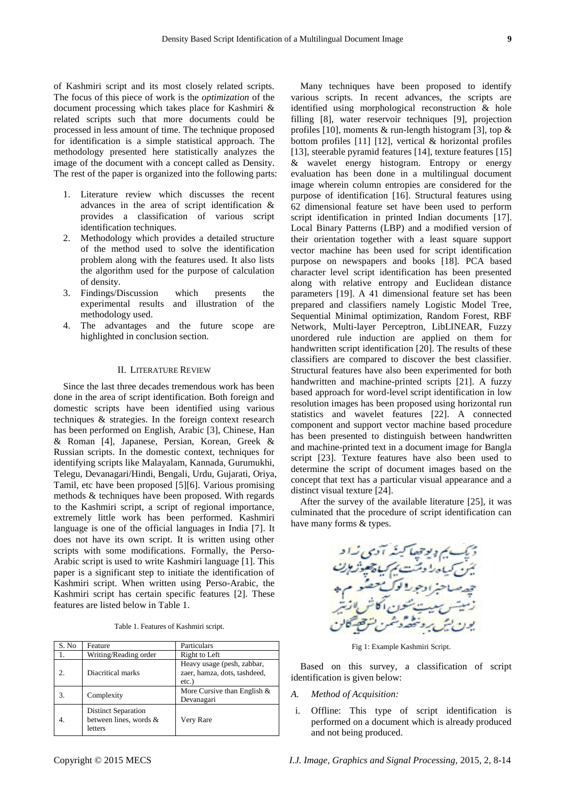of Kashmiri script and its most closely related scripts. The focus of this piece of work is the *optimization* of the document processing which takes place for Kashmiri & related scripts such that more documents could be processed in less amount of time. The technique proposed for identification is a simple statistical approach. The methodology presented here statistically analyzes the image of the document with a concept called as Density. The rest of the paper is organized into the following parts:

- 1. Literature review which discusses the recent advances in the area of script identification & provides a classification of various script identification techniques.
- 2. Methodology which provides a detailed structure of the method used to solve the identification problem along with the features used. It also lists the algorithm used for the purpose of calculation of density.
- 3. Findings/Discussion which presents the experimental results and illustration of the methodology used.
- 4. The advantages and the future scope are highlighted in conclusion section.

#### II. LITERATURE REVIEW

Since the last three decades tremendous work has been done in the area of script identification. Both foreign and domestic scripts have been identified using various techniques & strategies. In the foreign context research has been performed on English, Arabic [3], Chinese, Han & Roman [4], Japanese, Persian, Korean, Greek & Russian scripts. In the domestic context, techniques for identifying scripts like Malayalam, Kannada, Gurumukhi, Telegu, Devanagari/Hindi, Bengali, Urdu, Gujarati, Oriya, Tamil, etc have been proposed [5][6]. Various promising methods & techniques have been proposed. With regards to the Kashmiri script, a script of regional importance, extremely little work has been performed. Kashmiri language is one of the official languages in India [7]. It does not have its own script. It is written using other scripts with some modifications. Formally, the Perso-Arabic script is used to write Kashmiri language [1]. This paper is a significant step to initiate the identification of Kashmiri script. When written using Perso-Arabic, the Kashmiri script has certain specific features [2]. These features are listed below in Table 1.

Table 1. Features of Kashmiri script.

| S. No | Feature                                                         | Particulars                                                            |  |  |
|-------|-----------------------------------------------------------------|------------------------------------------------------------------------|--|--|
|       | Writing/Reading order                                           | Right to Left                                                          |  |  |
|       | Diacritical marks                                               | Heavy usage (pesh, zabbar,<br>zaer, hamza, dots, tashdeed,<br>$etc.$ ) |  |  |
| 3.    | Complexity                                                      | More Cursive than English $&$<br>Devanagari                            |  |  |
|       | <b>Distinct Separation</b><br>between lines, words &<br>letters | Very Rare                                                              |  |  |

Many techniques have been proposed to identify various scripts. In recent advances, the scripts are identified using morphological reconstruction & hole filling [8], water reservoir techniques [9], projection profiles [10], moments  $\&$  run-length histogram [3], top  $\&$ bottom profiles [11] [12], vertical & horizontal profiles [13], steerable pyramid features [14], texture features [15] & wavelet energy histogram. Entropy or energy evaluation has been done in a multilingual document image wherein column entropies are considered for the purpose of identification [16]. Structural features using 62 dimensional feature set have been used to perform script identification in printed Indian documents [17]. Local Binary Patterns (LBP) and a modified version of their orientation together with a least square support vector machine has been used for script identification purpose on newspapers and books [18]. PCA based character level script identification has been presented along with relative entropy and Euclidean distance parameters [19]. A 41 dimensional feature set has been prepared and classifiers namely Logistic Model Tree, Sequential Minimal optimization, Random Forest, RBF Network, Multi-layer Perceptron, LibLINEAR, Fuzzy unordered rule induction are applied on them for handwritten script identification [20]. The results of these classifiers are compared to discover the best classifier. Structural features have also been experimented for both handwritten and machine-printed scripts [21]. A fuzzy based approach for word-level script identification in low resolution images has been proposed using horizontal run statistics and wavelet features [22]. A connected component and support vector machine based procedure has been presented to distinguish between handwritten and machine-printed text in a document image for Bangla script [23]. Texture features have also been used to determine the script of document images based on the concept that text has a particular visual appearance and a distinct visual texture [24].

After the survey of the available literature [25], it was culminated that the procedure of script identification can have many forms & types.



Fig 1: Example Kashmiri Script.

Based on this survey, a classification of script identification is given below:

- *A. Method of Acquisition:*
- i. Offline: This type of script identification is performed on a document which is already produced and not being produced.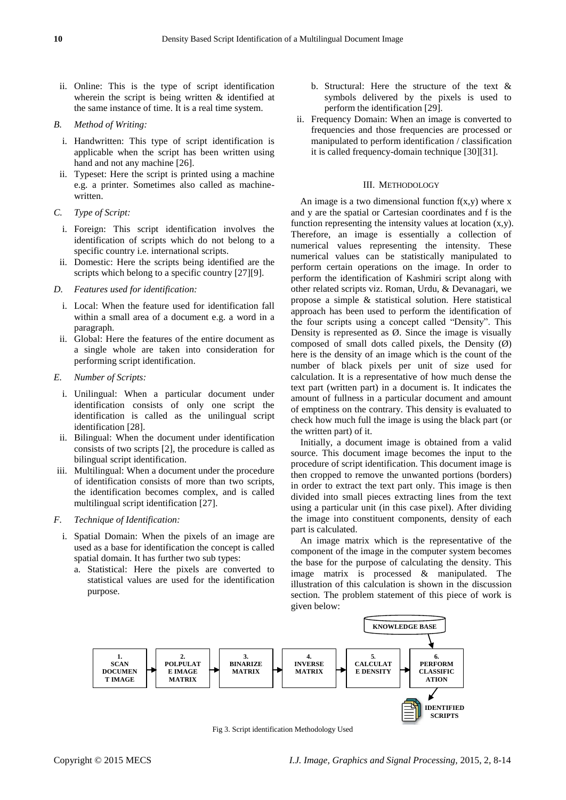- ii. Online: This is the type of script identification wherein the script is being written & identified at the same instance of time. It is a real time system.
- *B. Method of Writing:*
	- i. Handwritten: This type of script identification is applicable when the script has been written using hand and not any machine [26].
	- ii. Typeset: Here the script is printed using a machine e.g. a printer. Sometimes also called as machinewritten.
- *C. Type of Script:*
	- i. Foreign: This script identification involves the identification of scripts which do not belong to a specific country i.e. international scripts.
- ii. Domestic: Here the scripts being identified are the scripts which belong to a specific country [27][9].
- *D. Features used for identification:*
	- i. Local: When the feature used for identification fall within a small area of a document e.g. a word in a paragraph.
	- ii. Global: Here the features of the entire document as a single whole are taken into consideration for performing script identification.
- *E. Number of Scripts:*
	- i. Unilingual: When a particular document under identification consists of only one script the identification is called as the unilingual script identification [28].
	- ii. Bilingual: When the document under identification consists of two scripts [2], the procedure is called as bilingual script identification.
- iii. Multilingual: When a document under the procedure of identification consists of more than two scripts, the identification becomes complex, and is called multilingual script identification [27].
- *F. Technique of Identification:*
	- i. Spatial Domain: When the pixels of an image are used as a base for identification the concept is called spatial domain. It has further two sub types:
		- a. Statistical: Here the pixels are converted to statistical values are used for the identification purpose.
- b. Structural: Here the structure of the text & symbols delivered by the pixels is used to perform the identification [29].
- ii. Frequency Domain: When an image is converted to frequencies and those frequencies are processed or manipulated to perform identification / classification it is called frequency-domain technique [30][31].

# III. METHODOLOGY

An image is a two dimensional function  $f(x,y)$  where x and y are the spatial or Cartesian coordinates and f is the function representing the intensity values at location  $(x,y)$ . Therefore, an image is essentially a collection of numerical values representing the intensity. These numerical values can be statistically manipulated to perform certain operations on the image. In order to perform the identification of Kashmiri script along with other related scripts viz. Roman, Urdu, & Devanagari, we propose a simple & statistical solution. Here statistical approach has been used to perform the identification of the four scripts using a concept called "Density". This Density is represented as  $\emptyset$ . Since the image is visually composed of small dots called pixels, the Density  $(\emptyset)$ here is the density of an image which is the count of the number of black pixels per unit of size used for calculation. It is a representative of how much dense the text part (written part) in a document is. It indicates the amount of fullness in a particular document and amount of emptiness on the contrary. This density is evaluated to check how much full the image is using the black part (or the written part) of it.

Initially, a document image is obtained from a valid source. This document image becomes the input to the procedure of script identification. This document image is then cropped to remove the unwanted portions (borders) in order to extract the text part only. This image is then divided into small pieces extracting lines from the text using a particular unit (in this case pixel). After dividing the image into constituent components, density of each part is calculated.

An image matrix which is the representative of the component of the image in the computer system becomes the base for the purpose of calculating the density. This image matrix is processed & manipulated. The illustration of this calculation is shown in the discussion section. The problem statement of this piece of work is given below:



Fig 3. Script identification Methodology Used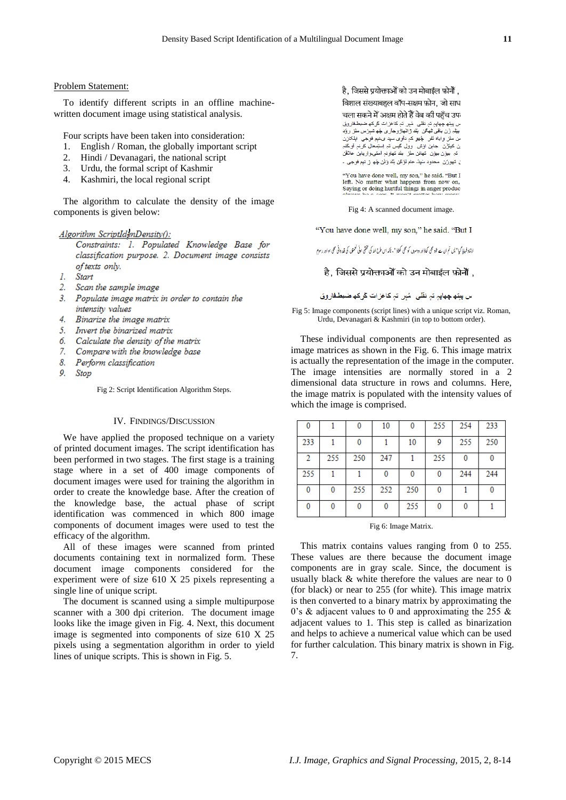## Problem Statement:

To identify different scripts in an offline machinewritten document image using statistical analysis.

Four scripts have been taken into consideration:

- 1. English / Roman, the globally important script
- 2. Hindi / Devanagari, the national script
- 3. Urdu, the formal script of Kashmir
- 4. Kashmiri, the local regional script

The algorithm to calculate the density of the image components is given below:

## Algorithm ScriptIdenDensity():

Constraints: 1. Populated Knowledge Base for classification purpose. 2. Document image consists of texts only.

- 1. Start
- 2. Scan the sample image
- 3. Populate image matrix in order to contain the intensity values
- 4. Binarize the image matrix
- 5. Invert the binarized matrix
- б. Calculate the density of the matrix
- $Z_{\rm c}$ Compare with the knowledge base
- 8. Perform classification
- $\boldsymbol{o}$ Stop

Fig 2: Script Identification Algorithm Steps.

## IV. FINDINGS/DISCUSSION

We have applied the proposed technique on a variety of printed document images. The script identification has been performed in two stages. The first stage is a training stage where in a set of 400 image components of document images were used for training the algorithm in order to create the knowledge base. After the creation of the knowledge base, the actual phase of script identification was commenced in which 800 image components of document images were used to test the efficacy of the algorithm.

All of these images were scanned from printed documents containing text in normalized form. These document image components considered for the experiment were of size 610 X 25 pixels representing a single line of unique script.

The document is scanned using a simple multipurpose scanner with a 300 dpi criterion. The document image looks like the image given in Fig. 4. Next, this document image is segmented into components of size 610 X 25 pixels using a segmentation algorithm in order to yield lines of unique scripts. This is shown in Fig. 5.

है. जिससे प्रयोक्ताओं को उन मोबाईल फ़ोनौं . विशाल संख्याबहल वॉप-सक्षम फ़ोन, जो साध चला सकने में अक्षम होते हैं वेब की पहुँच उप ، ح ۲- پی، ۲۰۰۱-۶-۰- به ۲۰۱۰ (۲۰۱۰-۹۰۱۰)<br>ں پیتھ چھاپہ تہ نقلبی مُہر تہ کاغزات کلرکھ ضبطـفاروق<br>بیلِدِ زَن باقبی ٹمھگن بُنّد ڑانـھاڑوجاری چُھ شہرَس ملز رؤد من منز واياه نَفر چُهو کہٖ داوی سڀد ی.نـږم فوجی ابلکازن ن کیلؤن جابن اوش وول گیس نہ اِستِمعال کرنہ اَو گنہ ے کرتے ہیں تر ں کرتے ہیں کہ کہ کہ کہ کا کہ اس کے علاقی ا<br>تبر بیوزن بیوزن تھانن مثن بند تھاونہ آمتی واریابن علاقی ل تهورُن محدود سَيِدٌ عام لوَكَن بِتَد وَشْ جُهِ ۖ زِ نبِم فوجي -

 $\lq \lq \lq \lq$  ave done well, my son," he said. "But I left. No matter what happens from now on, Saying or doing hurtful things in anger produc-

Fig 4: A scanned document image.

"You have done well, my son," he said. "But I

ارشاد فرمایا گیا " پس تم ان سے خود ہمی کھاؤادر دوسرہل کو ہمی کھلاڈ " ، تاکہ اس طرح اللہ کی تخشی موٹی گھور دانی ہمی ہوا در رسوم

## है. जिससे प्रयोक्ताओं को उन मोबाईल फ़ोनोँ .

س ڀپتھ ڇھاپہ تہ نقلی۔ مُٻر۔ تہٖ کاغز ات کُرکھ ضبطۂاروق

Fig 5: Image components (script lines) with a unique script viz. Roman, Urdu, Devanagari & Kashmiri (in top to bottom order).

These individual components are then represented as image matrices as shown in the Fig. 6. This image matrix is actually the representation of the image in the computer. The image intensities are normally stored in a 2 dimensional data structure in rows and columns. Here, the image matrix is populated with the intensity values of which the image is comprised.

| 0   |     | 0   | 10  | 0   | 255 | 254 | 233 |
|-----|-----|-----|-----|-----|-----|-----|-----|
| 233 |     | 0   |     | 10  | 9   | 255 | 250 |
| 2   | 255 | 250 | 247 |     | 255 | 0   | 0   |
| 255 |     |     | 0   | 0   | 0   | 244 | 244 |
| 0   | 0   | 255 | 252 | 250 | 0   |     | 0   |
| 0   | 0   | 0   | 0   | 255 | 0   | 0   |     |

Fig 6: Image Matrix.

This matrix contains values ranging from 0 to 255. These values are there because the document image components are in gray scale. Since, the document is usually black & white therefore the values are near to 0 (for black) or near to 255 (for white). This image matrix is then converted to a binary matrix by approximating the 0's  $\&$  adjacent values to 0 and approximating the 255  $\&$ adjacent values to 1. This step is called as binarization and helps to achieve a numerical value which can be used for further calculation. This binary matrix is shown in Fig. 7.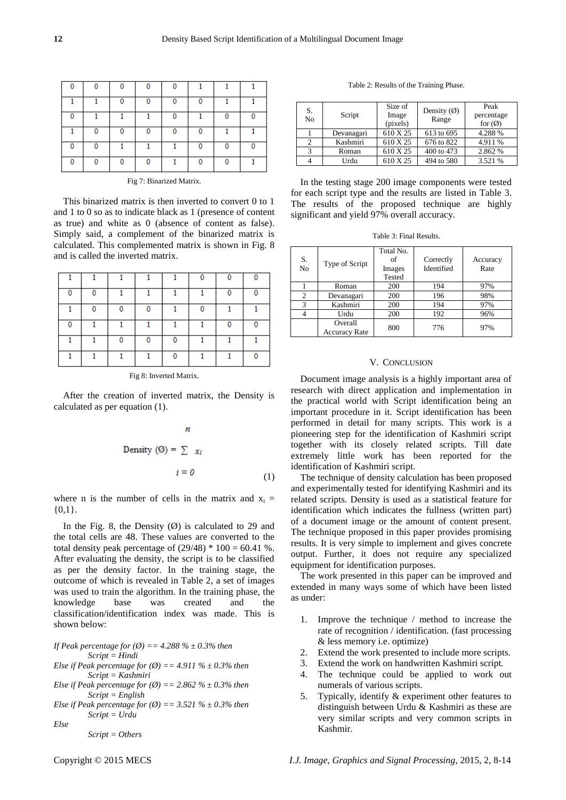| ٥ |   |   |   |   |          |  |
|---|---|---|---|---|----------|--|
|   |   | Ω | 0 | 0 | 0        |  |
| 0 |   |   |   | 0 |          |  |
|   | 0 | Ω | 0 | 0 | 0        |  |
| 0 |   |   |   |   | 0        |  |
| o |   | Λ | 0 |   | $\Omega$ |  |

Fig 7: Binarized Matrix.

This binarized matrix is then inverted to convert 0 to 1 and 1 to 0 so as to indicate black as 1 (presence of content as true) and white as 0 (absence of content as false). Simply said, a complement of the binarized matrix is calculated. This complemented matrix is shown in Fig. 8 and is called the inverted matrix.

| $\mathbf{0}$ | 0 |   |   |   |   | 0 |  |
|--------------|---|---|---|---|---|---|--|
|              | 0 | 0 | 0 |   | 0 |   |  |
| 0            |   |   |   |   |   | 0 |  |
|              |   | 0 | 0 | 0 |   |   |  |
|              |   |   |   | 0 |   |   |  |

Fig 8: Inverted Matrix.

After the creation of inverted matrix, the Density is calculated as per equation (1).

$$
n
$$
  
Density (0) =  $\sum x_i$   
 $i = 0$  (1)

where n is the number of cells in the matrix and  $x_i$  =  $\{0,1\}.$ 

In the Fig. 8, the Density  $(\emptyset)$  is calculated to 29 and the total cells are 48. These values are converted to the total density peak percentage of  $(29/48) * 100 = 60.41$  %. After evaluating the density, the script is to be classified as per the density factor. In the training stage, the outcome of which is revealed in Table 2, a set of images was used to train the algorithm. In the training phase, the knowledge base was created and the classification/identification index was made. This is shown below:

*If Peak percentage for (Ø) == 4.288 % ± 0.3% then Script = Hindi Else if Peak percentage for*  $(\emptyset) = 4.911 \% \pm 0.3\%$  then *Script = Kashmiri Else if Peak percentage for*  $(\emptyset) = 2.862 \% \pm 0.3\%$  then *Script = English Else if Peak percentage for*  $(\emptyset) = 3.521 \% \pm 0.3\%$  then *Script = Urdu*

*Else*

*Script = Others*

Table 2: Results of the Training Phase.

| S.<br>No | Script     | Size of<br>Image<br>(pixels) | Density $(\emptyset)$<br>Range | Peak<br>percentage<br>for $\varnothing$ |
|----------|------------|------------------------------|--------------------------------|-----------------------------------------|
|          | Devanagari | 610 X 25                     | 613 to 695                     | 4.288 %                                 |
|          | Kashmiri   | 610 X 25                     | 676 to 822                     | 4.911 %                                 |
|          | Roman      | 610 X 25                     | 400 to 473                     | 2.862 %                                 |
|          | Urdu       | 610 X 25                     | 494 to 580                     | 3.521 %                                 |

In the testing stage 200 image components were tested for each script type and the results are listed in Table 3. The results of the proposed technique are highly significant and yield 97% overall accuracy.

Table 3: Final Results.

| S.<br>No       | Type of Script                  | Total No.<br>of<br>Images<br>Tested | Correctly<br>Identified | Accuracy<br>Rate |
|----------------|---------------------------------|-------------------------------------|-------------------------|------------------|
|                | Roman                           | 200                                 | 194                     | 97%              |
| $\overline{c}$ | Devanagari                      | 200                                 | 196                     | 98%              |
| 3              | Kashmiri                        | 200                                 | 194                     | 97%              |
|                | Urdu                            | 200                                 | 192                     | 96%              |
|                | Overall<br><b>Accuracy Rate</b> | 800                                 | 776                     | 97%              |

#### V. CONCLUSION

Document image analysis is a highly important area of research with direct application and implementation in the practical world with Script identification being an important procedure in it. Script identification has been performed in detail for many scripts. This work is a pioneering step for the identification of Kashmiri script together with its closely related scripts. Till date extremely little work has been reported for the identification of Kashmiri script.

The technique of density calculation has been proposed and experimentally tested for identifying Kashmiri and its related scripts. Density is used as a statistical feature for identification which indicates the fullness (written part) of a document image or the amount of content present. The technique proposed in this paper provides promising results. It is very simple to implement and gives concrete output. Further, it does not require any specialized equipment for identification purposes.

The work presented in this paper can be improved and extended in many ways some of which have been listed as under:

- 1. Improve the technique / method to increase the rate of recognition / identification. (fast processing & less memory i.e. optimize)
- 2. Extend the work presented to include more scripts.
- 3. Extend the work on handwritten Kashmiri script.
- 4. The technique could be applied to work out numerals of various scripts.
- 5. Typically, identify & experiment other features to distinguish between Urdu & Kashmiri as these are very similar scripts and very common scripts in Kashmir.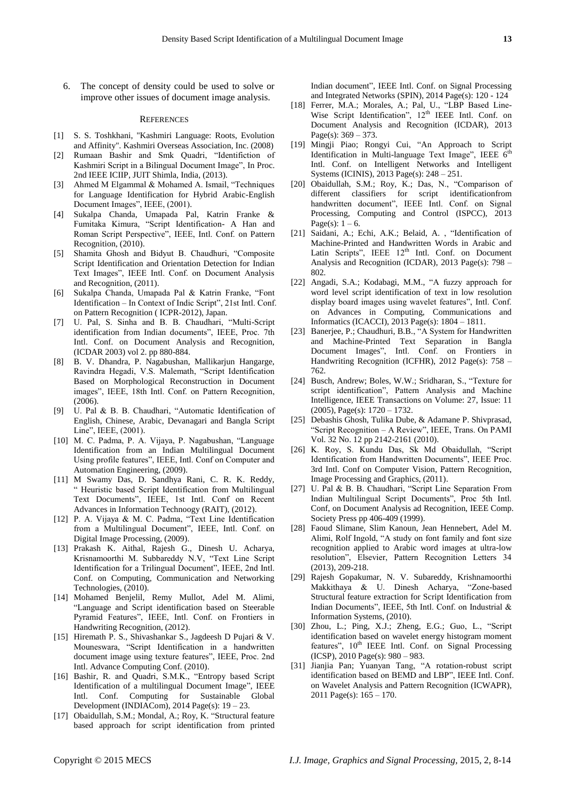6. The concept of density could be used to solve or improve other issues of document image analysis.

#### **REFERENCES**

- [1] S. S. Toshkhani, "Kashmiri Language: Roots, Evolution and Affinity". Kashmiri Overseas Association, Inc. (2008)
- [2] Rumaan Bashir and Smk Quadri, "Identifiction of Kashmiri Script in a Bilingual Document Image", In Proc. 2nd IEEE ICIIP, JUIT Shimla, India, (2013).
- [3] Ahmed M Elgammal  $& \text{Mohamed A}$ . Ismail, "Techniques for Language Identification for Hybrid Arabic-English Document Images", IEEE, (2001).
- [4] Sukalpa Chanda, Umapada Pal, Katrin Franke & Fumitaka Kimura, "Script Identification- A Han and Roman Script Perspective", IEEE, Intl. Conf. on Pattern Recognition, (2010).
- [5] Shamita Ghosh and Bidyut B. Chaudhuri, "Composite Script Identification and Orientation Detection for Indian Text Images", IEEE Intl. Conf. on Document Analysis and Recognition, (2011).
- [6] Sukalpa Chanda, Umapada Pal & Katrin Franke, "Font Identification – In Context of Indic Script", 21st Intl. Conf. on Pattern Recognition ( ICPR-2012), Japan.
- [7] U. Pal, S. Sinha and B. B. Chaudhari, "Multi-Script identification from Indian documents", IEEE, Proc. 7th Intl. Conf. on Document Analysis and Recognition, (ICDAR 2003) vol 2. pp 880-884.
- [8] B. V. Dhandra, P. Nagabushan, Mallikarjun Hangarge, Ravindra Hegadi, V.S. Malemath, "Script Identification Based on Morphological Reconstruction in Document images", IEEE, 18th Intl. Conf. on Pattern Recognition, (2006).
- [9] U. Pal & B. B. Chaudhari, "Automatic Identification of English, Chinese, Arabic, Devanagari and Bangla Script Line", IEEE, (2001).
- [10] M. C. Padma, P. A. Vijaya, P. Nagabushan, "Language Identification from an Indian Multilingual Document Using profile features", IEEE, Intl. Conf on Computer and Automation Engineering, (2009).
- [11] M Swamy Das, D. Sandhya Rani, C. R. K. Reddy, ― Heuristic based Script Identification from Multilingual Text Documents", IEEE, 1st Intl. Conf on Recent Advances in Information Technoogy (RAIT), (2012).
- [12] P. A. Vijaya & M. C. Padma, "Text Line Identification from a Multilingual Document", IEEE, Intl. Conf. on Digital Image Processing, (2009).
- [13] Prakash K. Aithal, Rajesh G., Dinesh U. Acharya, Krisnamoorthi M. Subbareddy N.V, "Text Line Script Identification for a Trilingual Document", IEEE, 2nd Intl. Conf. on Computing, Communication and Networking Technologies, (2010).
- [14] Mohamed Benjelil, Remy Mullot, Adel M. Alimi, ―Language and Script identification based on Steerable Pyramid Features", IEEE, Intl. Conf. on Frontiers in Handwriting Recognition, (2012).
- [15] Hiremath P. S., Shivashankar S., Jagdeesh D Pujari & V. Mouneswara, "Script Identification in a handwritten document image using texture features", IEEE, Proc. 2nd Intl. Advance Computing Conf. (2010).
- [16] Bashir, R. and Quadri, S.M.K., "Entropy based Script Identification of a multilingual Document Image", IEEE Intl. Conf. Computing for Sustainable Global Development (INDIACom), 2014 Page(s): 19 – 23.
- [17] Obaidullah, S.M.; Mondal, A.; Roy, K. "Structural feature based approach for script identification from printed

Indian document", IEEE Intl. Conf. on Signal Processing and Integrated Networks (SPIN), 2014 Page(s): 120 - 124

- [18] Ferrer, M.A.; Morales, A.; [Pal, U.,](http://ieeexplore.ieee.org/search/searchresult.jsp?searchWithin=p_Authors:.QT.Pal,%20U..QT.&newsearch=true) "LBP Based Line-Wise Script Identification",  $12<sup>th</sup>$  IEEE Intl. Conf. on Document Analysis and Recognition (ICDAR), 2013 Page(s):  $369 - 373$ .
- [19] Mingji Piao; Rongyi Cui, "An Approach to Script Identification in Multi-language Text Image", IEEE  $6<sup>th</sup>$ Intl. Conf. on Intelligent Networks and Intelligent Systems (ICINIS), 2013 Page(s): 248 – 251.
- [20] Obaidullah, S.M.; Roy, K.; Das, N., "Comparison of different classifiers for script identificationfrom handwritten document", IEEE Intl. Conf. on Signal Processing, Computing and Control (ISPCC), 2013 Page(s):  $1 - 6$ .
- [21] Saidani, A.; Echi, A.K.; Belaid, A., "Identification of Machine-Printed and Handwritten Words in Arabic and Latin Scripts", IEEE  $12<sup>th</sup>$  Intl. Conf. on Document Analysis and Recognition (ICDAR), 2013 Page(s): 798 – 802.
- [22] Angadi, S.A.; Kodabagi, M.M., "A fuzzy approach for word level script identification of text in low resolution display board images using wavelet features", Intl. Conf. on Advances in Computing, Communications and Informatics (ICACCI), 2013 Page(s): 1804 – 1811.
- [23] Banerjee, P.; Chaudhuri, B.B., "A System for Handwritten and Machine-Printed Text Separation in Bangla Document Images", Intl. Conf. on [Frontiers](http://ieeexplore.ieee.org/xpl/mostRecentIssue.jsp?punumber=6423130) in [Handwriting Recognition \(ICFHR\),](http://ieeexplore.ieee.org/xpl/mostRecentIssue.jsp?punumber=6423130) 2012 Page(s): 758 – 762.
- [24] Busch, Andrew; Boles, W.W.; Sridharan, S., "Texture for script identification", Pattern Analysis and Machine Intelligence, IEEE Transactions on Volume: 27, Issue: 11 (2005), Page(s): 1720 – 1732.
- [25] Debashis Ghosh, Tulika Dube, & Adamane P. Shivprasad, ―Script Recognition – A Review‖, IEEE, Trans. On PAMI Vol. 32 No. 12 pp 2142-2161 (2010).
- [26] K. Roy, S. Kundu Das, Sk Md Obaidullah, "Script Identification from Handwritten Documents", IEEE Proc. 3rd Intl. Conf on Computer Vision, Pattern Recognition, Image Processing and Graphics, (2011).
- [27] U. Pal & B. B. Chaudhari, "Script Line Separation From Indian Multilingual Script Documents", Proc 5th Intl. Conf, on Document Analysis ad Recognition, IEEE Comp. Society Press pp 406-409 (1999).
- [28] Faoud Slimane, Slim Kanoun, Jean Hennebert, Adel M. Alimi, Rolf Ingold, "A study on font family and font size recognition applied to Arabic word images at ultra-low resolution", Elsevier, Pattern Recognition Letters 34 (2013), 209-218.
- [29] Rajesh Gopakumar, N. V. Subareddy, Krishnamoorthi Makkithaya & U. Dinesh Acharya, "Zone-based Structural feature extraction for Script Identification from Indian Documents", IEEE, 5th Intl. Conf. on Industrial & Information Systems, (2010).
- [30] Zhou, L.; [Ping, X.J.;](http://ieeexplore.ieee.org/search/searchresult.jsp?searchWithin=p_Authors:.QT.Ping,%20X.J..QT.&searchWithin=p_Author_Ids:37299961200&newsearch=true) Zheng, E.G.; Guo, L., "Script identification based on wavelet energy histogram moment features", 10<sup>th</sup> IEEE Intl. Conf. on Signal Processing (ICSP), 2010 Page(s): 980 – 983.
- [31] Jianjia Pan; Yuanyan Tang, "A rotation-robust script identification based on BEMD and LBP", IEEE Intl. Conf. on Wavelet Analysis and Pattern Recognition (ICWAPR), 2011 Page(s): 165 – 170.